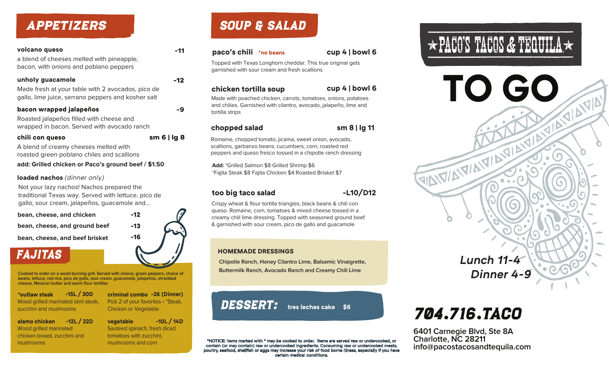### APPETIZERS

### **unholy guacamole -12** Made fresh at your table with 2 avocados, pico de gallo, lime juice, serrano peppers and kosher salt **volcano queso -11** a blend of cheeses melted with pineapple, bacon, with onions and poblano peppers

| bacon wrapped jalapeños                     | -9 |
|---------------------------------------------|----|
| Roasted jalapeños filled with cheese and    |    |
| wrapped in bacon. Served with avocado ranch |    |

#### **chili con queso sm 6 | lg 8**

A blend of creamy cheeses melted with roasted green poblano chiles and scallions

**add: Grilled chicken or Paco's ground beef / \$1.50**

#### **loaded nachos** *(dinner only)*

Not your lazy nachos! Nachos prepared the traditional Texas way. Served with lettuce, pico de gallo, sour cream, jalapeños, guacamole and...

**bean, cheese, and chicken**

**bean, cheese, and ground beef -13**

**bean, cheese, and beef brisket -16**

### FAJITAS

**Cooked to order on a wood burning grill. Served with onions, green peppers, choice of beans, lettuce, red rice, pico de gallo, sour cream, guacamole, jalapeños, shredded cheese, Mexican butter and warm flour tortillas**

**\*outlaw steak -15L / 30D** Wood grilled marinated skirt steak, zucchini and mushrooms

**alamo chicken -12L / 22D** Wood grilled marinated chicken breast, zucchini and mushrooms

**vegetable -10L / 14D** Sauteed spinach, fresh diced tomatoes with zucchini, mushrooms and corn

**criminal combo -26 (Dinner)** Pick 2 of your favorites • \*Steak,

Chicken or Vegetable

## SOUP & SALAD

#### **paco's chili \*no beans cup 4 | bowl 6**



Topped with Texas Longhorn cheddar. This true original gets garnished with sour cream and fresh scallions

#### **chicken tortilla soup**

**cup 4 | bowl 6**

Made with poached chicken, carrots, tomatoes, onions, potatoes and chilies. Garnished with cilantro, avocado, jalapeño, lime and tortilla strips

#### **chopped salad sm 8 | lg 11**

Romaine, chopped tomato, jicama, sweet onion, avocado, scallions, garbanzo beans, cucumbers, corn, roasted red peppers and queso fresco tossed in a chipotle ranch dressing

**Add:** \*Grilled Salmon \$8 Grilled Shrimp \$6 \*Fajita Steak \$8 Fajita Chicken \$4 Roasted Brisket \$7

#### **too big taco salad -L10/D12**

Crispy wheat & flour tortilla triangles, black beans & chili con queso. Romaine, corn, tomatoes & mixed cheese tossed in a creamy chili lime dressing. Topped with seasoned ground beef & garnished with sour cream, pico de gallo and guacamole

#### **HOMEMADE DRESSINGS**

**Chipotle Ranch, Honey Cilantro Lime, Balsamic Vinaigrette, Buttermilk Ranch, Avocado Ranch and Creamy Chili Lime**

DESSERT: tres leches cake \$6

\*NOTICE: Items marked with \* may be cooked to order. Items are served raw or undercooked, or contain (or may contain) raw or undercooked ingredients. Consuming raw or undercooked meats, poultry, seafood, shellfish or eggs may increase your risk of food borne illness, especially if you have certain medical conditions.



*Lunch 11-4 Dinner 4-9*

FINITIAL MANUSCRIPT

# 704.716.TACO

**6401 Carnegie Blvd, Ste 8A Charlotte, NC 28211 info@pacostacosandtequila.com**